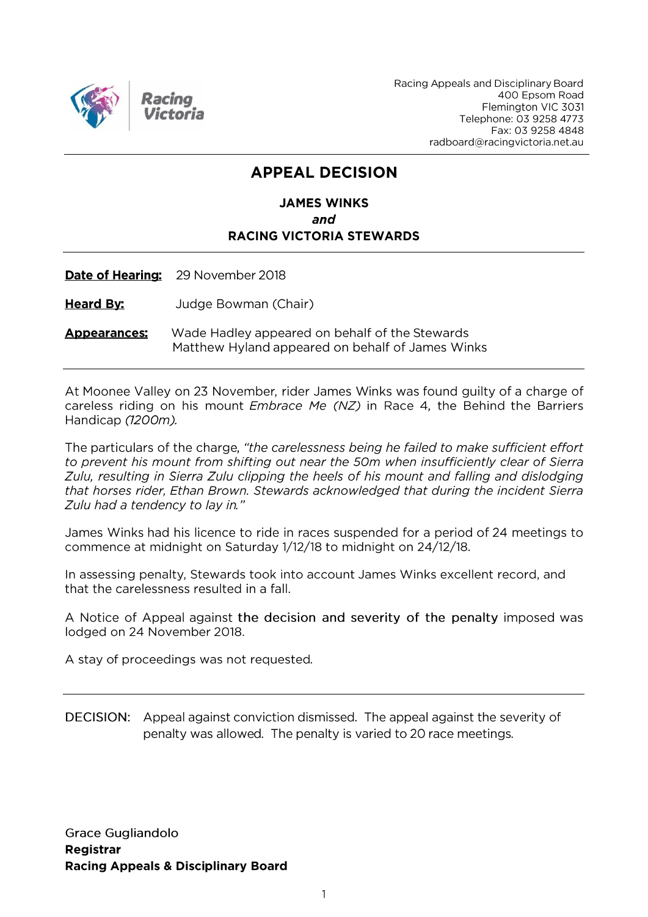

Racing Appeals and Disciplinary Board 400 Epsom Road Flemington VIC 3031 Telephone: 03 9258 4773 Fax: 03 9258 4848 radboard@racingvictoria.net.au

# **APPEAL DECISION**

# **JAMES WINKS** and **RACING VICTORIA STEWARDS**

Date of Hearing: 29 November 2018

**Heard By:** Judge Bowman (Chair)

**Appearances:** Wade Hadley appeared on behalf of the Stewards Matthew Hyland appeared on behalf of James Winks

At Moonee Valley on 23 November, rider James Winks was found guilty of a charge of careless riding on his mount *Embrace Me (NZ)* in Race 4, the Behind the Barriers Handicap (1200m).

The particulars of the charge, "the carelessness being he failed to make sufficient effort to prevent his mount from shifting out near the 50m when insufficiently clear of Sierra Zulu, resulting in Sierra Zulu clipping the heels of his mount and falling and dislodging that horses rider, Ethan Brown. Stewards acknowledged that during the incident Sierra Zulu had a tendency to lay in."

James Winks had his licence to ride in races suspended for a period of 24 meetings to commence at midnight on Saturday 1/12/18 to midnight on 24/12/18.

In assessing penalty, Stewards took into account James Winks excellent record, and that the carelessness resulted in a fall.

A Notice of Appeal against the decision and severity of the penalty imposed was lodged on 24 November 2018.

A stay of proceedings was not requested.

DECISION: Appeal against conviction dismissed. The appeal against the severity of penalty was allowed. The penalty is varied to 20 race meetings.

**Grace Gugliandolo** Registrar **Racing Appeals & Disciplinary Board**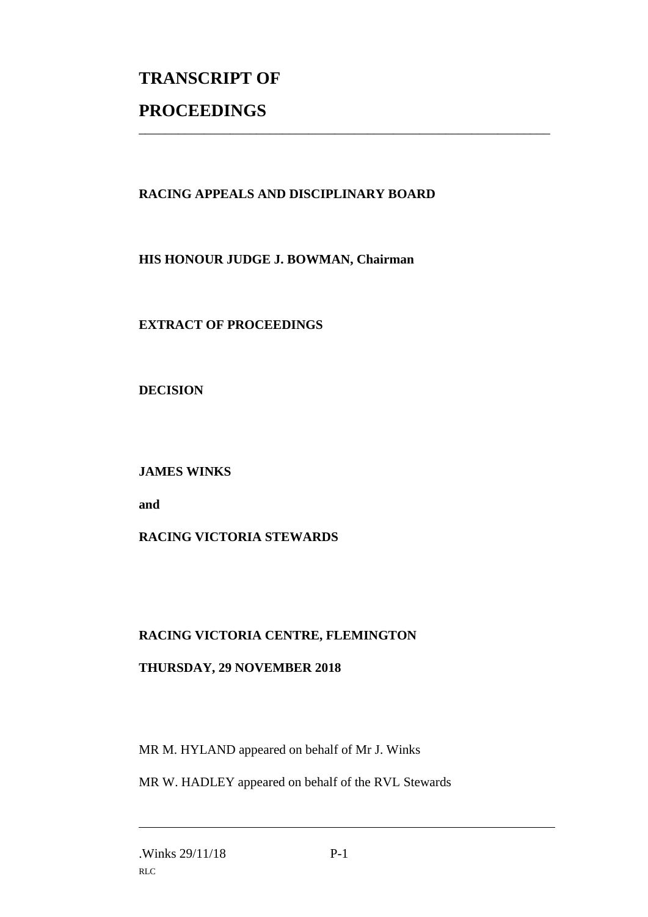# **TRANSCRIPT OF PROCEEDINGS**

# **RACING APPEALS AND DISCIPLINARY BOARD**

\_\_\_\_\_\_\_\_\_\_\_\_\_\_\_\_\_\_\_\_\_\_\_\_\_\_\_\_\_\_\_\_\_\_\_\_\_\_\_\_\_\_\_\_\_\_\_\_\_\_\_\_\_\_\_\_\_\_\_\_\_\_\_

# **HIS HONOUR JUDGE J. BOWMAN, Chairman**

# **EXTRACT OF PROCEEDINGS**

#### **DECISION**

# **JAMES WINKS**

**and** 

# **RACING VICTORIA STEWARDS**

# **RACING VICTORIA CENTRE, FLEMINGTON**

# **THURSDAY, 29 NOVEMBER 2018**

MR M. HYLAND appeared on behalf of Mr J. Winks

MR W. HADLEY appeared on behalf of the RVL Stewards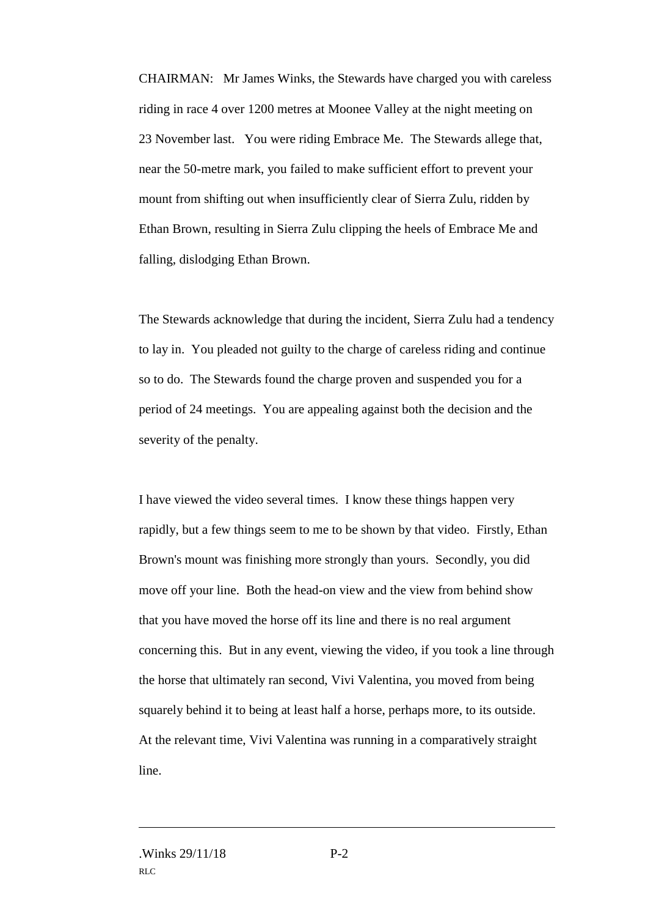CHAIRMAN: Mr James Winks, the Stewards have charged you with careless riding in race 4 over 1200 metres at Moonee Valley at the night meeting on 23 November last. You were riding Embrace Me. The Stewards allege that, near the 50-metre mark, you failed to make sufficient effort to prevent your mount from shifting out when insufficiently clear of Sierra Zulu, ridden by Ethan Brown, resulting in Sierra Zulu clipping the heels of Embrace Me and falling, dislodging Ethan Brown.

The Stewards acknowledge that during the incident, Sierra Zulu had a tendency to lay in. You pleaded not guilty to the charge of careless riding and continue so to do. The Stewards found the charge proven and suspended you for a period of 24 meetings. You are appealing against both the decision and the severity of the penalty.

I have viewed the video several times. I know these things happen very rapidly, but a few things seem to me to be shown by that video. Firstly, Ethan Brown's mount was finishing more strongly than yours. Secondly, you did move off your line. Both the head-on view and the view from behind show that you have moved the horse off its line and there is no real argument concerning this. But in any event, viewing the video, if you took a line through the horse that ultimately ran second, Vivi Valentina, you moved from being squarely behind it to being at least half a horse, perhaps more, to its outside. At the relevant time, Vivi Valentina was running in a comparatively straight line.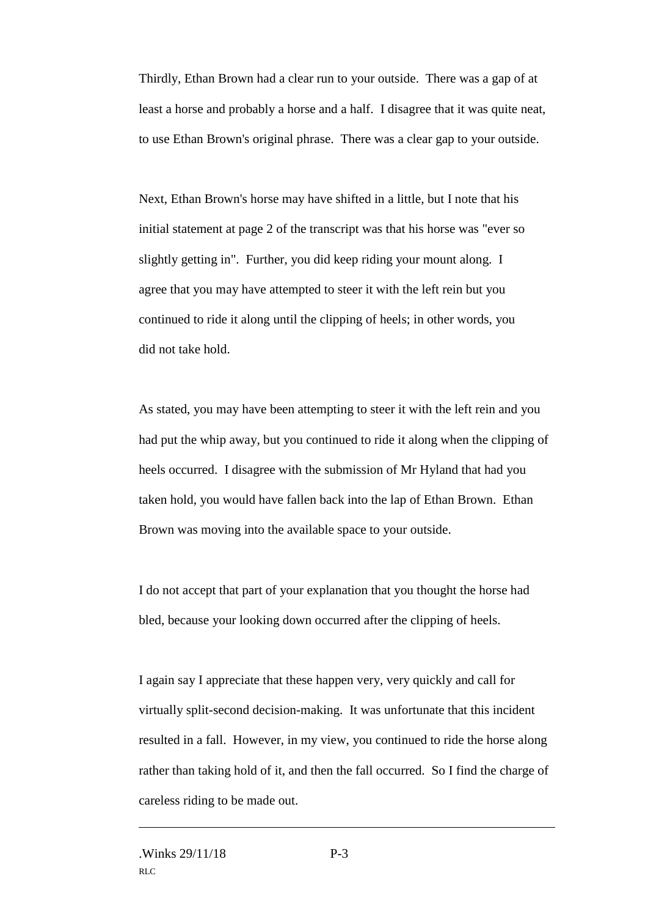Thirdly, Ethan Brown had a clear run to your outside. There was a gap of at least a horse and probably a horse and a half. I disagree that it was quite neat, to use Ethan Brown's original phrase. There was a clear gap to your outside.

Next, Ethan Brown's horse may have shifted in a little, but I note that his initial statement at page 2 of the transcript was that his horse was "ever so slightly getting in". Further, you did keep riding your mount along. I agree that you may have attempted to steer it with the left rein but you continued to ride it along until the clipping of heels; in other words, you did not take hold.

As stated, you may have been attempting to steer it with the left rein and you had put the whip away, but you continued to ride it along when the clipping of heels occurred. I disagree with the submission of Mr Hyland that had you taken hold, you would have fallen back into the lap of Ethan Brown. Ethan Brown was moving into the available space to your outside.

I do not accept that part of your explanation that you thought the horse had bled, because your looking down occurred after the clipping of heels.

I again say I appreciate that these happen very, very quickly and call for virtually split-second decision-making. It was unfortunate that this incident resulted in a fall. However, in my view, you continued to ride the horse along rather than taking hold of it, and then the fall occurred. So I find the charge of careless riding to be made out.